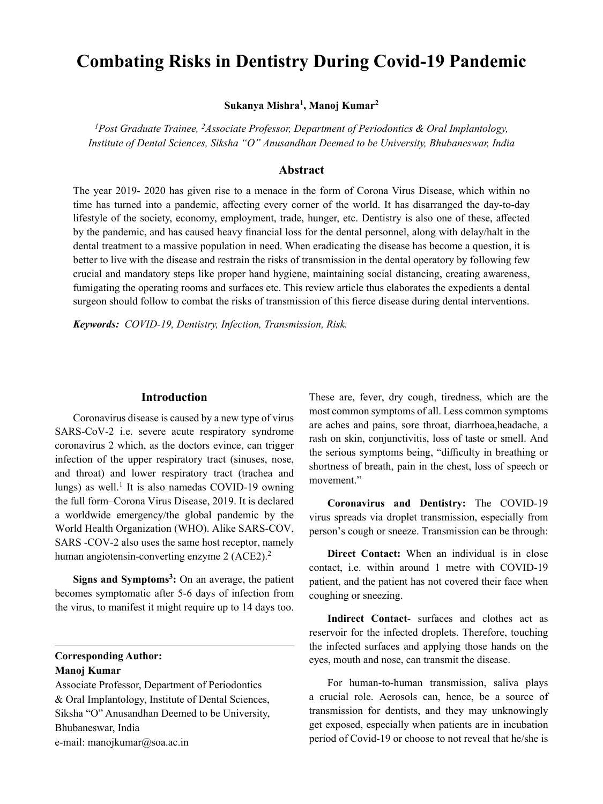# **Combating Risks in Dentistry During Covid-19 Pandemic**

**Sukanya Mishra<sup>1</sup> , Manoj Kumar2**

<sup>1</sup> Post Graduate Trainee, <sup>2</sup> Associate Professor, Department of Periodontics & Oral Implantology, *Institute of Dental Sciences, Siksha "O" Anusandhan Deemed to be University, Bhubaneswar, India*

## **Abstract**

The year 2019- 2020 has given rise to a menace in the form of Corona Virus Disease, which within no time has turned into a pandemic, affecting every corner of the world. It has disarranged the day-to-day lifestyle of the society, economy, employment, trade, hunger, etc. Dentistry is also one of these, affected by the pandemic, and has caused heavy financial loss for the dental personnel, along with delay/halt in the dental treatment to a massive population in need. When eradicating the disease has become a question, it is better to live with the disease and restrain the risks of transmission in the dental operatory by following few crucial and mandatory steps like proper hand hygiene, maintaining social distancing, creating awareness, fumigating the operating rooms and surfaces etc. This review article thus elaborates the expedients a dental surgeon should follow to combat the risks of transmission of this fierce disease during dental interventions.

*Keywords: COVID-19, Dentistry, Infection, Transmission, Risk.*

#### **Introduction**

Coronavirus disease is caused by a new type of virus SARS-CoV-2 i.e. severe acute respiratory syndrome coronavirus 2 which, as the doctors evince, can trigger infection of the upper respiratory tract (sinuses, nose, and throat) and lower respiratory tract (trachea and lungs) as well.<sup>1</sup> It is also namedas COVID-19 owning the full form–Corona Virus Disease, 2019. It is declared a worldwide emergency/the global pandemic by the World Health Organization (WHO). Alike SARS-COV, SARS -COV-2 also uses the same host receptor, namely human angiotensin-converting enzyme 2 (ACE2).<sup>2</sup>

Signs and Symptoms<sup>3</sup>: On an average, the patient becomes symptomatic after 5-6 days of infection from the virus, to manifest it might require up to 14 days too.

**Corresponding Author: Manoj Kumar**

Associate Professor, Department of Periodontics & Oral Implantology, Institute of Dental Sciences, Siksha "O" Anusandhan Deemed to be University, Bhubaneswar, India e-mail: manojkumar@soa.ac.in

These are, fever, dry cough, tiredness, which are the most common symptoms of all. Less common symptoms are aches and pains, sore throat, diarrhoea,headache, a rash on skin, conjunctivitis, loss of taste or smell. And the serious symptoms being, "difficulty in breathing or shortness of breath, pain in the chest, loss of speech or movement."

**Coronavirus and Dentistry:** The COVID-19 virus spreads via droplet transmission, especially from person's cough or sneeze. Transmission can be through:

**Direct Contact:** When an individual is in close contact, i.e. within around 1 metre with COVID-19 patient, and the patient has not covered their face when coughing or sneezing.

**Indirect Contact**- surfaces and clothes act as reservoir for the infected droplets. Therefore, touching the infected surfaces and applying those hands on the eyes, mouth and nose, can transmit the disease.

For human-to-human transmission, saliva plays a crucial role. Aerosols can, hence, be a source of transmission for dentists, and they may unknowingly get exposed, especially when patients are in incubation period of Covid-19 or choose to not reveal that he/she is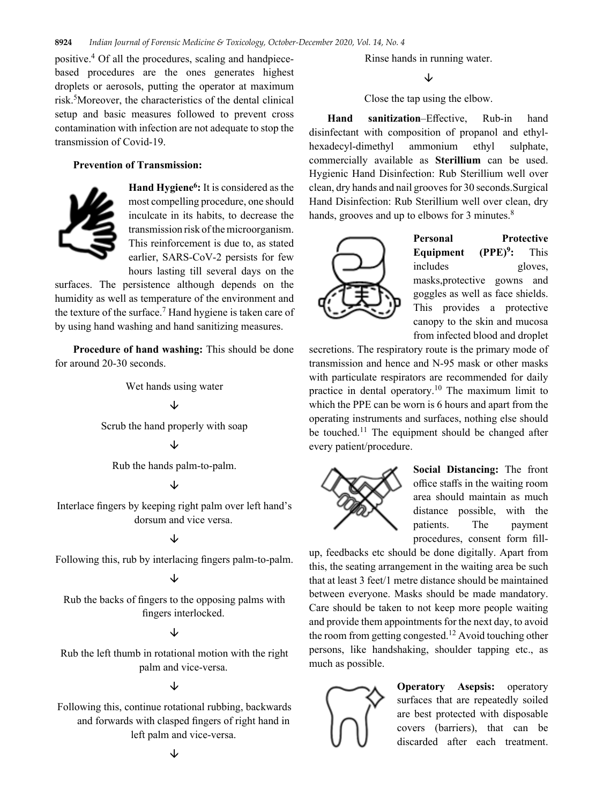positive.4 Of all the procedures, scaling and handpiecebased procedures are the ones generates highest droplets or aerosols, putting the operator at maximum risk.<sup>5</sup>Moreover, the characteristics of the dental clinical setup and basic measures followed to prevent cross contamination with infection are not adequate to stop the transmission of Covid-19.

#### **Prevention of Transmission:**



Hand Hygiene<sup>6</sup>: It is considered as the most compelling procedure, one should inculcate in its habits, to decrease the transmission risk of the microorganism. This reinforcement is due to, as stated earlier, SARS-CoV-2 persists for few hours lasting till several days on the

surfaces. The persistence although depends on the humidity as well as temperature of the environment and the texture of the surface.<sup>7</sup> Hand hygiene is taken care of by using hand washing and hand sanitizing measures.

**Procedure of hand washing:** This should be done for around 20-30 seconds.

Wet hands using water

# ↓

Scrub the hand properly with soap

### ↓

Rub the hands palm-to-palm.

## ↓

Interlace fingers by keeping right palm over left hand's dorsum and vice versa.

## ↓

Following this, rub by interlacing fingers palm-to-palm.

# ↓

Rub the backs of fingers to the opposing palms with fingers interlocked.

## $\downarrow$

Rub the left thumb in rotational motion with the right palm and vice-versa.

## $\downarrow$

Following this, continue rotational rubbing, backwards and forwards with clasped fingers of right hand in left palm and vice-versa.

Rinse hands in running water.

↓

Close the tap using the elbow.

**Hand sanitization**–Effective, Rub-in hand disinfectant with composition of propanol and ethylhexadecyl-dimethyl ammonium ethyl sulphate, commercially available as **Sterillium** can be used. Hygienic Hand Disinfection: Rub Sterillium well over clean, dry hands and nail grooves for 30 seconds.Surgical Hand Disinfection: Rub Sterillium well over clean, dry hands, grooves and up to elbows for 3 minutes.<sup>8</sup>



**Personal Protective**  Equipment (PPE)<sup>9</sup>: **:** This includes gloves, masks,protective gowns and goggles as well as face shields. This provides a protective canopy to the skin and mucosa from infected blood and droplet

secretions. The respiratory route is the primary mode of transmission and hence and N-95 mask or other masks with particulate respirators are recommended for daily practice in dental operatory.10 The maximum limit to which the PPE can be worn is 6 hours and apart from the operating instruments and surfaces, nothing else should be touched.<sup>11</sup> The equipment should be changed after every patient/procedure.



**Social Distancing:** The front office staffs in the waiting room area should maintain as much distance possible, with the patients. The payment procedures, consent form fill-

up, feedbacks etc should be done digitally. Apart from this, the seating arrangement in the waiting area be such that at least 3 feet/1 metre distance should be maintained between everyone. Masks should be made mandatory. Care should be taken to not keep more people waiting and provide them appointments for the next day, to avoid the room from getting congested.<sup>12</sup> Avoid touching other persons, like handshaking, shoulder tapping etc., as much as possible.



**Operatory Asepsis:** operatory surfaces that are repeatedly soiled are best protected with disposable covers (barriers), that can be discarded after each treatment.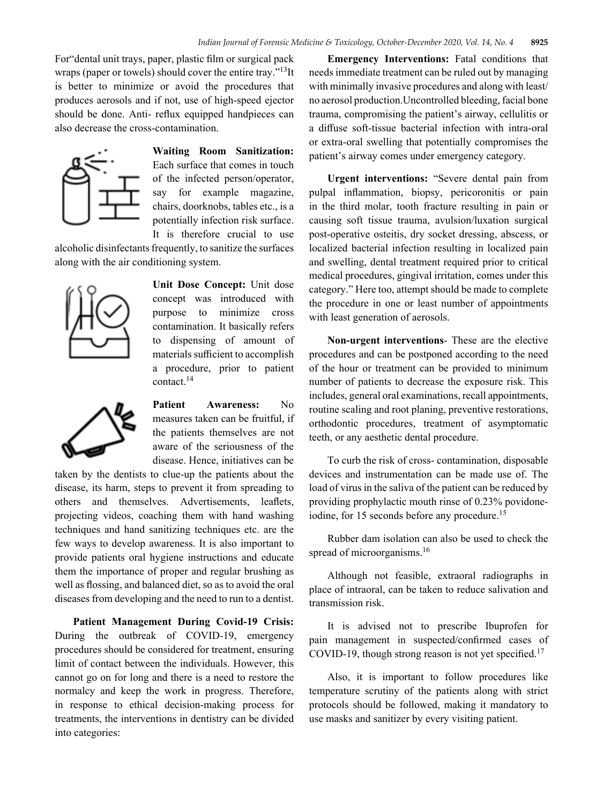For"dental unit trays, paper, plastic film or surgical pack wraps (paper or towels) should cover the entire tray."<sup>13</sup>It is better to minimize or avoid the procedures that produces aerosols and if not, use of high-speed ejector should be done. Anti- reflux equipped handpieces can also decrease the cross-contamination.



**Waiting Room Sanitization:**  Each surface that comes in touch of the infected person/operator, say for example magazine, chairs, doorknobs, tables etc., is a potentially infection risk surface. It is therefore crucial to use

alcoholic disinfectants frequently, to sanitize the surfaces along with the air conditioning system.



**Unit Dose Concept:** Unit dose concept was introduced with purpose to minimize cross contamination. It basically refers to dispensing of amount of materials sufficient to accomplish a procedure, prior to patient contact.14



**Patient Awareness:** No measures taken can be fruitful, if the patients themselves are not aware of the seriousness of the disease. Hence, initiatives can be

taken by the dentists to clue-up the patients about the disease, its harm, steps to prevent it from spreading to others and themselves. Advertisements, leaflets, projecting videos, coaching them with hand washing techniques and hand sanitizing techniques etc. are the few ways to develop awareness. It is also important to provide patients oral hygiene instructions and educate them the importance of proper and regular brushing as well as flossing, and balanced diet, so as to avoid the oral diseases from developing and the need to run to a dentist.

**Patient Management During Covid-19 Crisis:**  During the outbreak of COVID-19, emergency procedures should be considered for treatment, ensuring limit of contact between the individuals. However, this cannot go on for long and there is a need to restore the normalcy and keep the work in progress. Therefore, in response to ethical decision-making process for treatments, the interventions in dentistry can be divided into categories:

**Emergency Interventions:** Fatal conditions that needs immediate treatment can be ruled out by managing with minimally invasive procedures and along with least/ no aerosol production.Uncontrolled bleeding, facial bone trauma, compromising the patient's airway, cellulitis or a diffuse soft-tissue bacterial infection with intra-oral or extra-oral swelling that potentially compromises the patient's airway comes under emergency category.

**Urgent interventions:** "Severe dental pain from pulpal inflammation, biopsy, pericoronitis or pain in the third molar, tooth fracture resulting in pain or causing soft tissue trauma, avulsion/luxation surgical post-operative osteitis, dry socket dressing, abscess, or localized bacterial infection resulting in localized pain and swelling, dental treatment required prior to critical medical procedures, gingival irritation, comes under this category." Here too, attempt should be made to complete the procedure in one or least number of appointments with least generation of aerosols.

**Non-urgent interventions**- These are the elective procedures and can be postponed according to the need of the hour or treatment can be provided to minimum number of patients to decrease the exposure risk. This includes, general oral examinations, recall appointments, routine scaling and root planing, preventive restorations, orthodontic procedures, treatment of asymptomatic teeth, or any aesthetic dental procedure.

To curb the risk of cross- contamination, disposable devices and instrumentation can be made use of. The load of virus in the saliva of the patient can be reduced by providing prophylactic mouth rinse of 0.23% povidoneiodine, for 15 seconds before any procedure.<sup>15</sup>

Rubber dam isolation can also be used to check the spread of microorganisms.<sup>16</sup>

Although not feasible, extraoral radiographs in place of intraoral, can be taken to reduce salivation and transmission risk.

It is advised not to prescribe Ibuprofen for pain management in suspected/confirmed cases of COVID-19, though strong reason is not yet specified.<sup>17</sup>

Also, it is important to follow procedures like temperature scrutiny of the patients along with strict protocols should be followed, making it mandatory to use masks and sanitizer by every visiting patient.